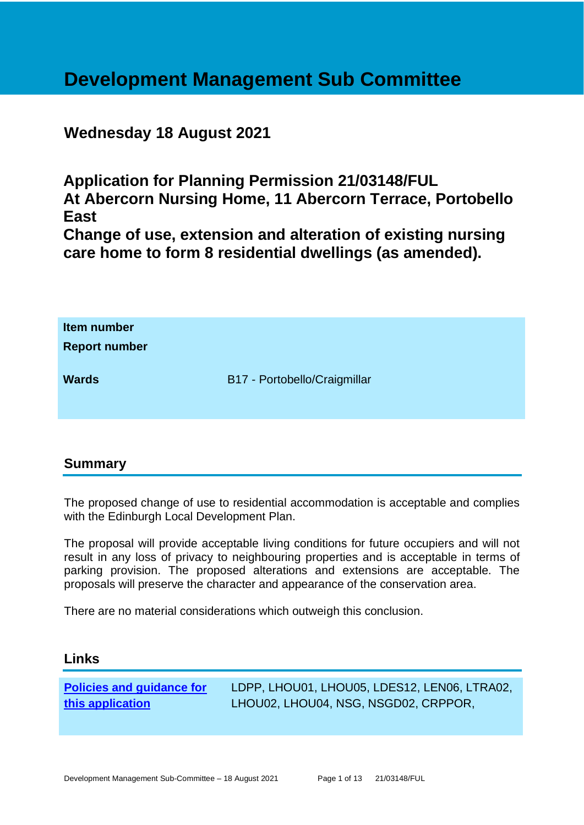# **Development Management Sub Committee**

# **Wednesday 18 August 2021**

**Application for Planning Permission 21/03148/FUL At Abercorn Nursing Home, 11 Abercorn Terrace, Portobello East**

**Change of use, extension and alteration of existing nursing care home to form 8 residential dwellings (as amended).**

| Item number<br><b>Report number</b> |                              |
|-------------------------------------|------------------------------|
| <b>Wards</b>                        | B17 - Portobello/Craigmillar |

# **Summary**

The proposed change of use to residential accommodation is acceptable and complies with the Edinburgh Local Development Plan.

The proposal will provide acceptable living conditions for future occupiers and will not result in any loss of privacy to neighbouring properties and is acceptable in terms of parking provision. The proposed alterations and extensions are acceptable. The proposals will preserve the character and appearance of the conservation area.

There are no material considerations which outweigh this conclusion.

#### **Links**

**[Policies and guidance for](file:///C:/uniform/temp/uf04148.rtf%23Policies)  [this application](file:///C:/uniform/temp/uf04148.rtf%23Policies)**

LDPP, LHOU01, LHOU05, LDES12, LEN06, LTRA02, LHOU02, LHOU04, NSG, NSGD02, CRPPOR,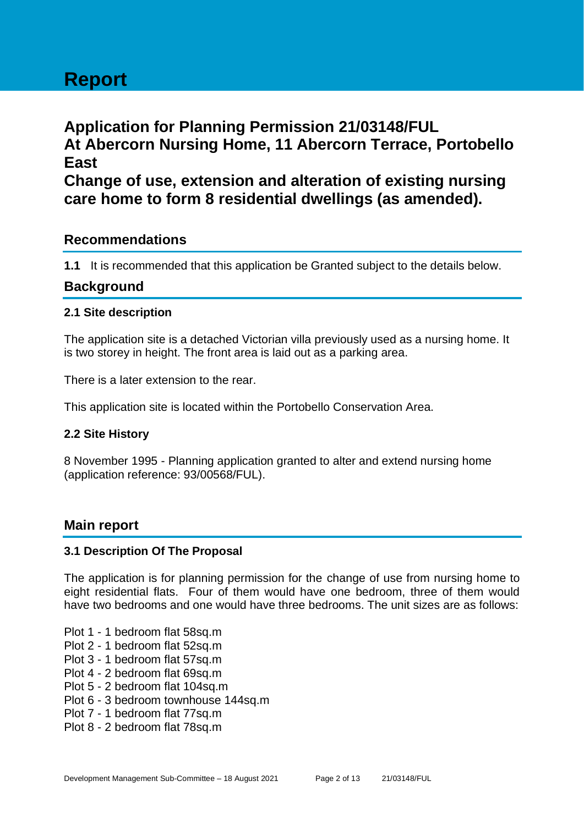# **Report**

# **Application for Planning Permission 21/03148/FUL At Abercorn Nursing Home, 11 Abercorn Terrace, Portobello East Change of use, extension and alteration of existing nursing care home to form 8 residential dwellings (as amended).**

# **Recommendations**

**1.1** It is recommended that this application be Granted subject to the details below.

#### **Background**

#### **2.1 Site description**

The application site is a detached Victorian villa previously used as a nursing home. It is two storey in height. The front area is laid out as a parking area.

There is a later extension to the rear.

This application site is located within the Portobello Conservation Area.

#### **2.2 Site History**

8 November 1995 - Planning application granted to alter and extend nursing home (application reference: 93/00568/FUL).

#### **Main report**

#### **3.1 Description Of The Proposal**

The application is for planning permission for the change of use from nursing home to eight residential flats. Four of them would have one bedroom, three of them would have two bedrooms and one would have three bedrooms. The unit sizes are as follows:

- Plot 1 1 bedroom flat 58sq.m
- Plot 2 1 bedroom flat 52sq.m
- Plot 3 1 bedroom flat 57sq.m
- Plot 4 2 bedroom flat 69sq.m
- Plot 5 2 bedroom flat 104sq.m
- Plot 6 3 bedroom townhouse 144sq.m
- Plot 7 1 bedroom flat 77sq.m
- Plot 8 2 bedroom flat 78sq.m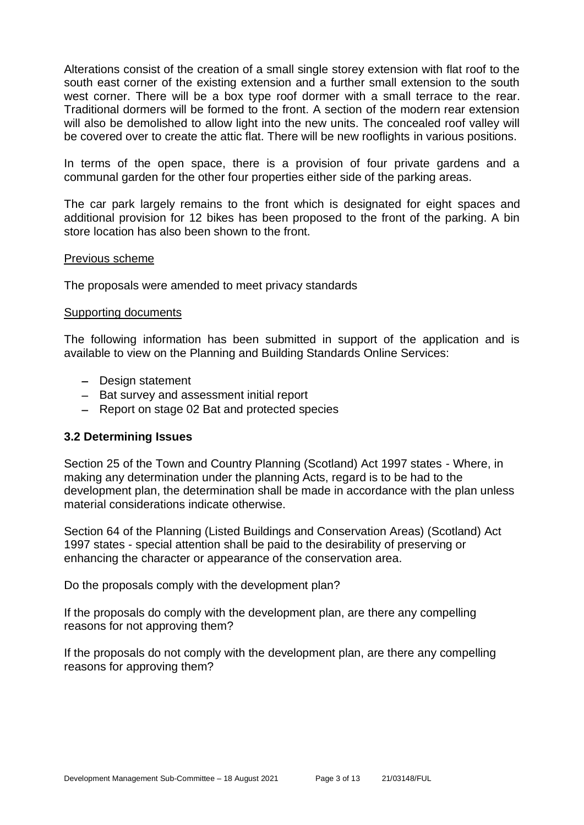Alterations consist of the creation of a small single storey extension with flat roof to the south east corner of the existing extension and a further small extension to the south west corner. There will be a box type roof dormer with a small terrace to the rear. Traditional dormers will be formed to the front. A section of the modern rear extension will also be demolished to allow light into the new units. The concealed roof valley will be covered over to create the attic flat. There will be new rooflights in various positions.

In terms of the open space, there is a provision of four private gardens and a communal garden for the other four properties either side of the parking areas.

The car park largely remains to the front which is designated for eight spaces and additional provision for 12 bikes has been proposed to the front of the parking. A bin store location has also been shown to the front.

#### Previous scheme

The proposals were amended to meet privacy standards

#### Supporting documents

The following information has been submitted in support of the application and is available to view on the Planning and Building Standards Online Services:

- − Design statement
- − Bat survey and assessment initial report
- − Report on stage 02 Bat and protected species

#### **3.2 Determining Issues**

Section 25 of the Town and Country Planning (Scotland) Act 1997 states - Where, in making any determination under the planning Acts, regard is to be had to the development plan, the determination shall be made in accordance with the plan unless material considerations indicate otherwise.

Section 64 of the Planning (Listed Buildings and Conservation Areas) (Scotland) Act 1997 states - special attention shall be paid to the desirability of preserving or enhancing the character or appearance of the conservation area.

Do the proposals comply with the development plan?

If the proposals do comply with the development plan, are there any compelling reasons for not approving them?

If the proposals do not comply with the development plan, are there any compelling reasons for approving them?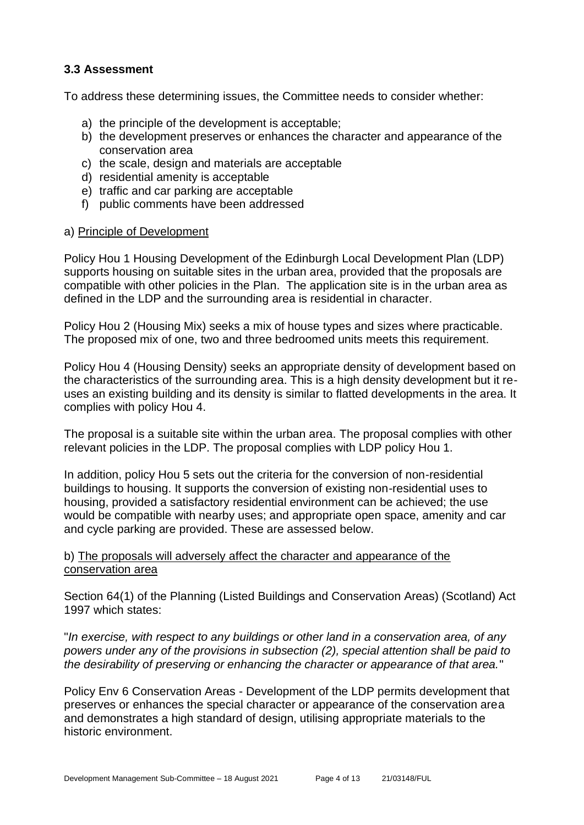#### **3.3 Assessment**

To address these determining issues, the Committee needs to consider whether:

- a) the principle of the development is acceptable;
- b) the development preserves or enhances the character and appearance of the conservation area
- c) the scale, design and materials are acceptable
- d) residential amenity is acceptable
- e) traffic and car parking are acceptable
- f) public comments have been addressed

#### a) Principle of Development

Policy Hou 1 Housing Development of the Edinburgh Local Development Plan (LDP) supports housing on suitable sites in the urban area, provided that the proposals are compatible with other policies in the Plan. The application site is in the urban area as defined in the LDP and the surrounding area is residential in character.

Policy Hou 2 (Housing Mix) seeks a mix of house types and sizes where practicable. The proposed mix of one, two and three bedroomed units meets this requirement.

Policy Hou 4 (Housing Density) seeks an appropriate density of development based on the characteristics of the surrounding area. This is a high density development but it reuses an existing building and its density is similar to flatted developments in the area. It complies with policy Hou 4.

The proposal is a suitable site within the urban area. The proposal complies with other relevant policies in the LDP. The proposal complies with LDP policy Hou 1.

In addition, policy Hou 5 sets out the criteria for the conversion of non-residential buildings to housing. It supports the conversion of existing non-residential uses to housing, provided a satisfactory residential environment can be achieved; the use would be compatible with nearby uses; and appropriate open space, amenity and car and cycle parking are provided. These are assessed below.

#### b) The proposals will adversely affect the character and appearance of the conservation area

Section 64(1) of the Planning (Listed Buildings and Conservation Areas) (Scotland) Act 1997 which states:

"*In exercise, with respect to any buildings or other land in a conservation area, of any powers under any of the provisions in subsection (2), special attention shall be paid to the desirability of preserving or enhancing the character or appearance of that area.*"

Policy Env 6 Conservation Areas - Development of the LDP permits development that preserves or enhances the special character or appearance of the conservation area and demonstrates a high standard of design, utilising appropriate materials to the historic environment.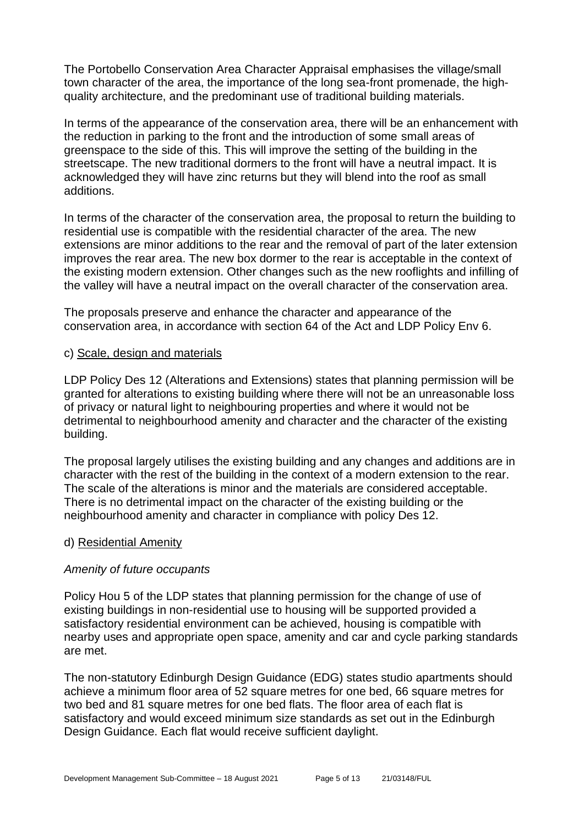The Portobello Conservation Area Character Appraisal emphasises the village/small town character of the area, the importance of the long sea-front promenade, the highquality architecture, and the predominant use of traditional building materials.

In terms of the appearance of the conservation area, there will be an enhancement with the reduction in parking to the front and the introduction of some small areas of greenspace to the side of this. This will improve the setting of the building in the streetscape. The new traditional dormers to the front will have a neutral impact. It is acknowledged they will have zinc returns but they will blend into the roof as small additions.

In terms of the character of the conservation area, the proposal to return the building to residential use is compatible with the residential character of the area. The new extensions are minor additions to the rear and the removal of part of the later extension improves the rear area. The new box dormer to the rear is acceptable in the context of the existing modern extension. Other changes such as the new rooflights and infilling of the valley will have a neutral impact on the overall character of the conservation area.

The proposals preserve and enhance the character and appearance of the conservation area, in accordance with section 64 of the Act and LDP Policy Env 6.

#### c) Scale, design and materials

LDP Policy Des 12 (Alterations and Extensions) states that planning permission will be granted for alterations to existing building where there will not be an unreasonable loss of privacy or natural light to neighbouring properties and where it would not be detrimental to neighbourhood amenity and character and the character of the existing building.

The proposal largely utilises the existing building and any changes and additions are in character with the rest of the building in the context of a modern extension to the rear. The scale of the alterations is minor and the materials are considered acceptable. There is no detrimental impact on the character of the existing building or the neighbourhood amenity and character in compliance with policy Des 12.

#### d) Residential Amenity

#### *Amenity of future occupants*

Policy Hou 5 of the LDP states that planning permission for the change of use of existing buildings in non-residential use to housing will be supported provided a satisfactory residential environment can be achieved, housing is compatible with nearby uses and appropriate open space, amenity and car and cycle parking standards are met.

The non-statutory Edinburgh Design Guidance (EDG) states studio apartments should achieve a minimum floor area of 52 square metres for one bed, 66 square metres for two bed and 81 square metres for one bed flats. The floor area of each flat is satisfactory and would exceed minimum size standards as set out in the Edinburgh Design Guidance. Each flat would receive sufficient daylight.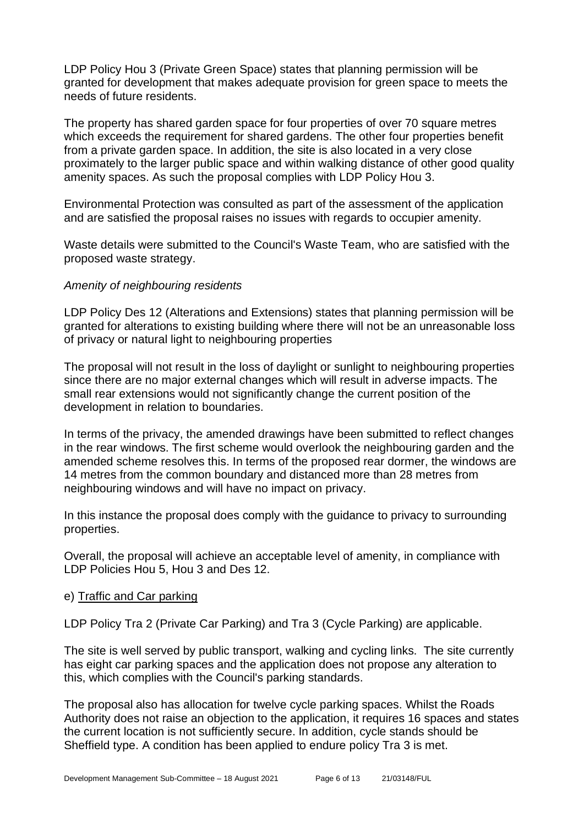LDP Policy Hou 3 (Private Green Space) states that planning permission will be granted for development that makes adequate provision for green space to meets the needs of future residents.

The property has shared garden space for four properties of over 70 square metres which exceeds the requirement for shared gardens. The other four properties benefit from a private garden space. In addition, the site is also located in a very close proximately to the larger public space and within walking distance of other good quality amenity spaces. As such the proposal complies with LDP Policy Hou 3.

Environmental Protection was consulted as part of the assessment of the application and are satisfied the proposal raises no issues with regards to occupier amenity.

Waste details were submitted to the Council's Waste Team, who are satisfied with the proposed waste strategy.

#### *Amenity of neighbouring residents*

LDP Policy Des 12 (Alterations and Extensions) states that planning permission will be granted for alterations to existing building where there will not be an unreasonable loss of privacy or natural light to neighbouring properties

The proposal will not result in the loss of daylight or sunlight to neighbouring properties since there are no major external changes which will result in adverse impacts. The small rear extensions would not significantly change the current position of the development in relation to boundaries.

In terms of the privacy, the amended drawings have been submitted to reflect changes in the rear windows. The first scheme would overlook the neighbouring garden and the amended scheme resolves this. In terms of the proposed rear dormer, the windows are 14 metres from the common boundary and distanced more than 28 metres from neighbouring windows and will have no impact on privacy.

In this instance the proposal does comply with the guidance to privacy to surrounding properties.

Overall, the proposal will achieve an acceptable level of amenity, in compliance with LDP Policies Hou 5, Hou 3 and Des 12.

#### e) Traffic and Car parking

LDP Policy Tra 2 (Private Car Parking) and Tra 3 (Cycle Parking) are applicable.

The site is well served by public transport, walking and cycling links. The site currently has eight car parking spaces and the application does not propose any alteration to this, which complies with the Council's parking standards.

The proposal also has allocation for twelve cycle parking spaces. Whilst the Roads Authority does not raise an objection to the application, it requires 16 spaces and states the current location is not sufficiently secure. In addition, cycle stands should be Sheffield type. A condition has been applied to endure policy Tra 3 is met.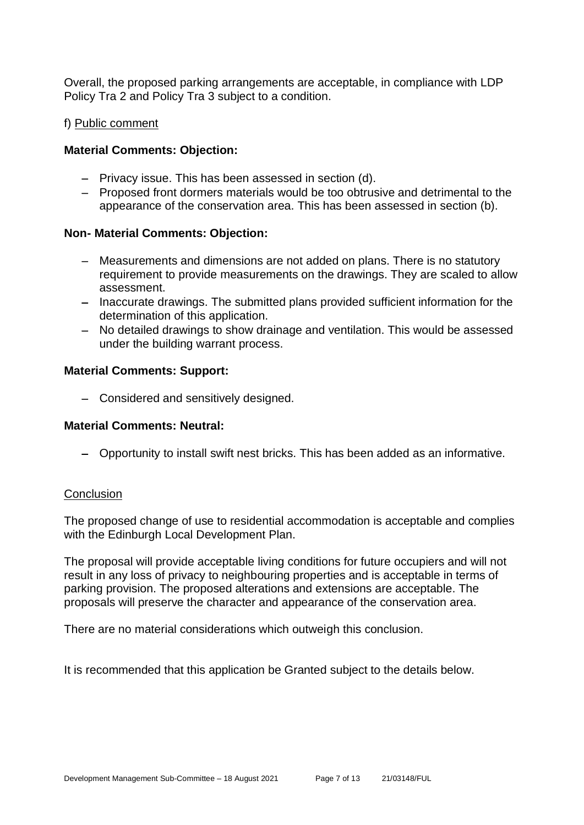Overall, the proposed parking arrangements are acceptable, in compliance with LDP Policy Tra 2 and Policy Tra 3 subject to a condition.

#### f) Public comment

#### **Material Comments: Objection:**

- − Privacy issue. This has been assessed in section (d).
- − Proposed front dormers materials would be too obtrusive and detrimental to the appearance of the conservation area. This has been assessed in section (b).

#### **Non- Material Comments: Objection:**

- − Measurements and dimensions are not added on plans. There is no statutory requirement to provide measurements on the drawings. They are scaled to allow assessment.
- − Inaccurate drawings. The submitted plans provided sufficient information for the determination of this application.
- − No detailed drawings to show drainage and ventilation. This would be assessed under the building warrant process.

#### **Material Comments: Support:**

− Considered and sensitively designed.

#### **Material Comments: Neutral:**

− Opportunity to install swift nest bricks. This has been added as an informative.

#### **Conclusion**

The proposed change of use to residential accommodation is acceptable and complies with the Edinburgh Local Development Plan.

The proposal will provide acceptable living conditions for future occupiers and will not result in any loss of privacy to neighbouring properties and is acceptable in terms of parking provision. The proposed alterations and extensions are acceptable. The proposals will preserve the character and appearance of the conservation area.

There are no material considerations which outweigh this conclusion.

It is recommended that this application be Granted subject to the details below.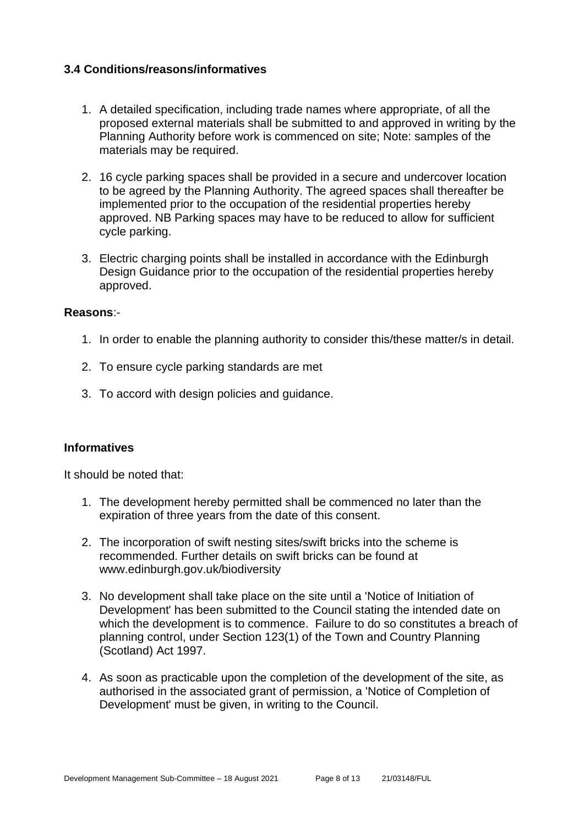#### **3.4 Conditions/reasons/informatives**

- 1. A detailed specification, including trade names where appropriate, of all the proposed external materials shall be submitted to and approved in writing by the Planning Authority before work is commenced on site; Note: samples of the materials may be required.
- 2. 16 cycle parking spaces shall be provided in a secure and undercover location to be agreed by the Planning Authority. The agreed spaces shall thereafter be implemented prior to the occupation of the residential properties hereby approved. NB Parking spaces may have to be reduced to allow for sufficient cycle parking.
- 3. Electric charging points shall be installed in accordance with the Edinburgh Design Guidance prior to the occupation of the residential properties hereby approved.

#### **Reasons**:-

- 1. In order to enable the planning authority to consider this/these matter/s in detail.
- 2. To ensure cycle parking standards are met
- 3. To accord with design policies and guidance.

#### **Informatives**

It should be noted that:

- 1. The development hereby permitted shall be commenced no later than the expiration of three years from the date of this consent.
- 2. The incorporation of swift nesting sites/swift bricks into the scheme is recommended. Further details on swift bricks can be found at www.edinburgh.gov.uk/biodiversity
- 3. No development shall take place on the site until a 'Notice of Initiation of Development' has been submitted to the Council stating the intended date on which the development is to commence. Failure to do so constitutes a breach of planning control, under Section 123(1) of the Town and Country Planning (Scotland) Act 1997.
- 4. As soon as practicable upon the completion of the development of the site, as authorised in the associated grant of permission, a 'Notice of Completion of Development' must be given, in writing to the Council.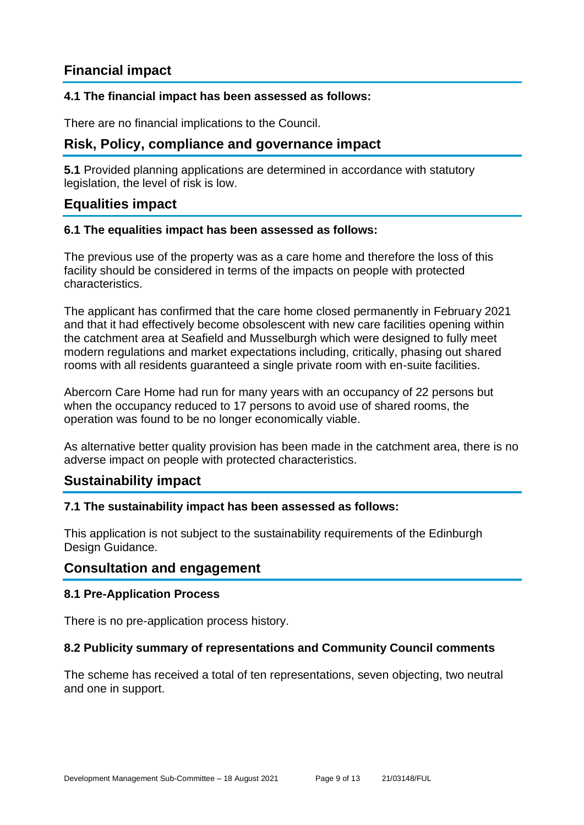# **Financial impact**

#### **4.1 The financial impact has been assessed as follows:**

There are no financial implications to the Council.

# **Risk, Policy, compliance and governance impact**

**5.1** Provided planning applications are determined in accordance with statutory legislation, the level of risk is low.

#### **Equalities impact**

#### **6.1 The equalities impact has been assessed as follows:**

The previous use of the property was as a care home and therefore the loss of this facility should be considered in terms of the impacts on people with protected characteristics.

The applicant has confirmed that the care home closed permanently in February 2021 and that it had effectively become obsolescent with new care facilities opening within the catchment area at Seafield and Musselburgh which were designed to fully meet modern regulations and market expectations including, critically, phasing out shared rooms with all residents guaranteed a single private room with en-suite facilities.

Abercorn Care Home had run for many years with an occupancy of 22 persons but when the occupancy reduced to 17 persons to avoid use of shared rooms, the operation was found to be no longer economically viable.

As alternative better quality provision has been made in the catchment area, there is no adverse impact on people with protected characteristics.

#### **Sustainability impact**

#### **7.1 The sustainability impact has been assessed as follows:**

This application is not subject to the sustainability requirements of the Edinburgh Design Guidance.

#### **Consultation and engagement**

#### **8.1 Pre-Application Process**

There is no pre-application process history.

#### **8.2 Publicity summary of representations and Community Council comments**

The scheme has received a total of ten representations, seven objecting, two neutral and one in support.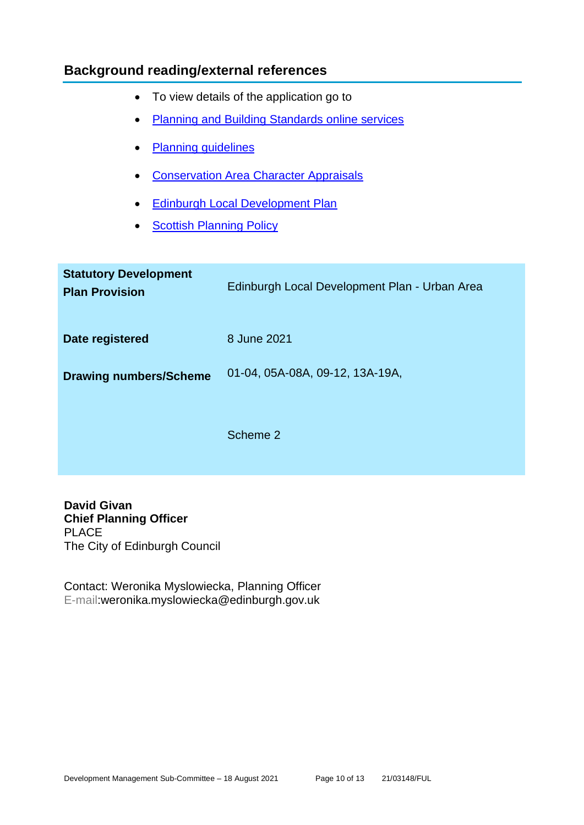# **Background reading/external references**

- To view details of the application go to
- [Planning and Building Standards online services](https://citydev-portal.edinburgh.gov.uk/idoxpa-web/search.do?action=simple&searchType=Application)
- [Planning guidelines](http://www.edinburgh.gov.uk/planningguidelines)
- [Conservation Area Character Appraisals](http://www.edinburgh.gov.uk/characterappraisals)
- [Edinburgh Local Development Plan](http://www.edinburgh.gov.uk/localdevelopmentplan)
- **[Scottish Planning Policy](http://www.scotland.gov.uk/Topics/Built-Environment/planning/Policy)**

| <b>Statutory Development</b><br><b>Plan Provision</b> | Edinburgh Local Development Plan - Urban Area |
|-------------------------------------------------------|-----------------------------------------------|
| Date registered                                       | 8 June 2021                                   |
| <b>Drawing numbers/Scheme</b>                         | 01-04, 05A-08A, 09-12, 13A-19A,               |
|                                                       | Scheme 2                                      |

**David Givan Chief Planning Officer** PLACE The City of Edinburgh Council

Contact: Weronika Myslowiecka, Planning Officer E-mail:weronika.myslowiecka@edinburgh.gov.uk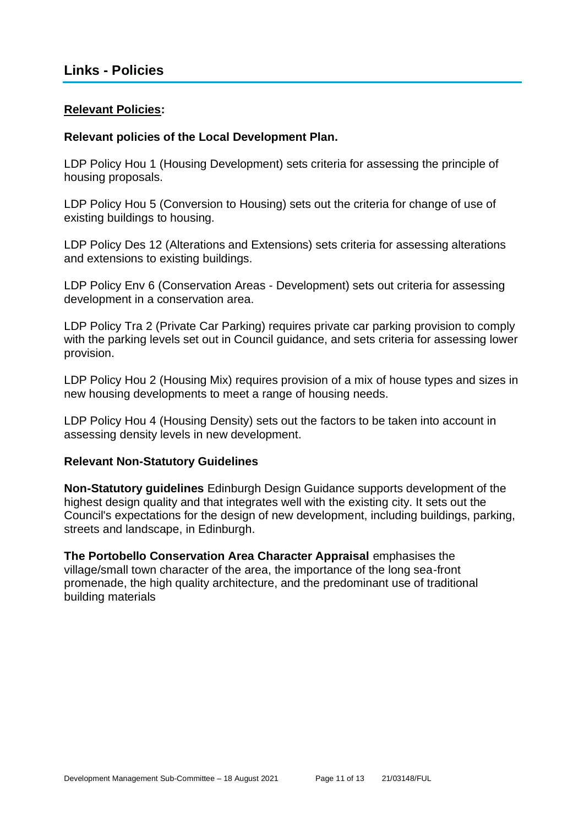#### **Relevant Policies:**

#### **Relevant policies of the Local Development Plan.**

LDP Policy Hou 1 (Housing Development) sets criteria for assessing the principle of housing proposals.

LDP Policy Hou 5 (Conversion to Housing) sets out the criteria for change of use of existing buildings to housing.

LDP Policy Des 12 (Alterations and Extensions) sets criteria for assessing alterations and extensions to existing buildings.

LDP Policy Env 6 (Conservation Areas - Development) sets out criteria for assessing development in a conservation area.

LDP Policy Tra 2 (Private Car Parking) requires private car parking provision to comply with the parking levels set out in Council guidance, and sets criteria for assessing lower provision.

LDP Policy Hou 2 (Housing Mix) requires provision of a mix of house types and sizes in new housing developments to meet a range of housing needs.

LDP Policy Hou 4 (Housing Density) sets out the factors to be taken into account in assessing density levels in new development.

#### **Relevant Non-Statutory Guidelines**

**Non-Statutory guidelines** Edinburgh Design Guidance supports development of the highest design quality and that integrates well with the existing city. It sets out the Council's expectations for the design of new development, including buildings, parking, streets and landscape, in Edinburgh.

**The Portobello Conservation Area Character Appraisal** emphasises the village/small town character of the area, the importance of the long sea-front promenade, the high quality architecture, and the predominant use of traditional building materials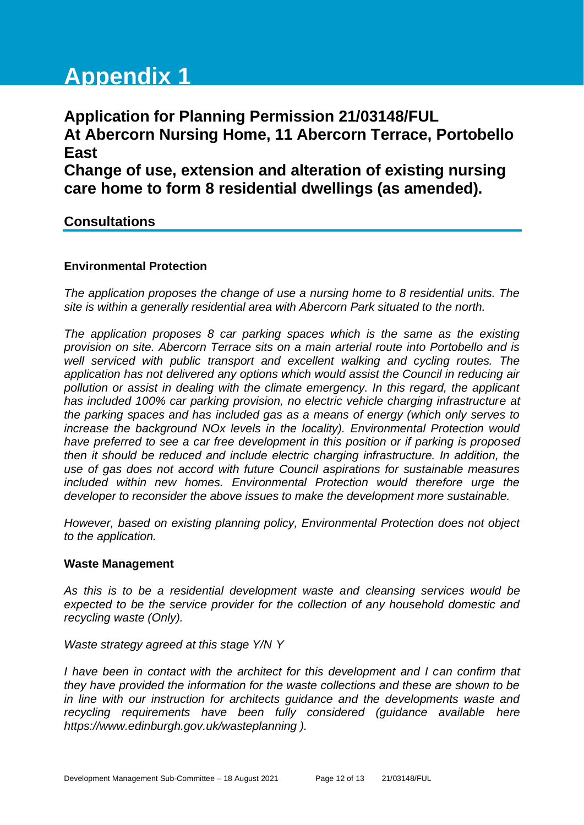# **Appendix 1**

# **Application for Planning Permission 21/03148/FUL At Abercorn Nursing Home, 11 Abercorn Terrace, Portobello East Change of use, extension and alteration of existing nursing care home to form 8 residential dwellings (as amended).**

# **Consultations**

#### **Environmental Protection**

*The application proposes the change of use a nursing home to 8 residential units. The site is within a generally residential area with Abercorn Park situated to the north.*

*The application proposes 8 car parking spaces which is the same as the existing provision on site. Abercorn Terrace sits on a main arterial route into Portobello and is well serviced with public transport and excellent walking and cycling routes. The application has not delivered any options which would assist the Council in reducing air pollution or assist in dealing with the climate emergency. In this regard, the applicant has included 100% car parking provision, no electric vehicle charging infrastructure at the parking spaces and has included gas as a means of energy (which only serves to increase the background NOx levels in the locality). Environmental Protection would have preferred to see a car free development in this position or if parking is proposed then it should be reduced and include electric charging infrastructure. In addition, the use of gas does not accord with future Council aspirations for sustainable measures included within new homes. Environmental Protection would therefore urge the developer to reconsider the above issues to make the development more sustainable.*

*However, based on existing planning policy, Environmental Protection does not object to the application.*

#### **Waste Management**

*As this is to be a residential development waste and cleansing services would be expected to be the service provider for the collection of any household domestic and recycling waste (Only).* 

*Waste strategy agreed at this stage Y/N Y*

*I have been in contact with the architect for this development and I can confirm that they have provided the information for the waste collections and these are shown to be in line with our instruction for architects guidance and the developments waste and recycling requirements have been fully considered (guidance available here https://www.edinburgh.gov.uk/wasteplanning ).*